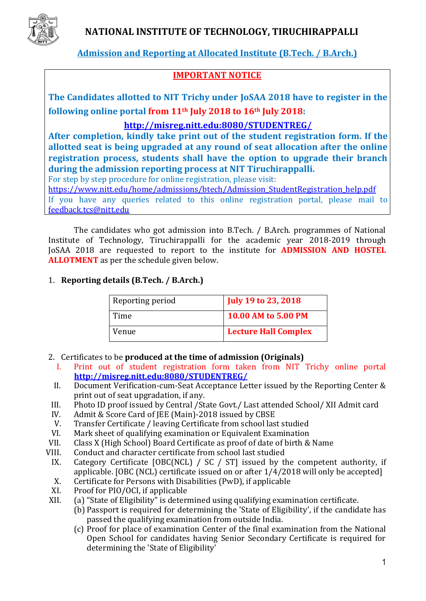

**Admission and Reporting at Allocated Institute (B.Tech. / B.Arch.)**

# **IMPORTANT NOTICE**

**The Candidates allotted to NIT Trichy under JoSAA 2018 have to register in the following online portal from 11th July 2018 to 16th July 2018:**

# **<http://misreg.nitt.edu:8080/STUDENTREG/>**

**After completion, kindly take print out of the student registration form. If the allotted seat is being upgraded at any round of seat allocation after the online registration process, students shall have the option to upgrade their branch during the admission reporting process at NIT Tiruchirappalli.**

For step by step procedure for online registration, please visit:

[https://www.nitt.edu/home/admissions/btech/Admission\\_StudentRegistration\\_help.pdf](https://www.nitt.edu/home/admissions/btech/Admission_StudentRegistration_help.pdf) If you have any queries related to this online registration portal, please mail to [feedback.tcs@nitt.edu](mailto:feedback.tcs@nitt.edu)

The candidates who got admission into B.Tech. / B.Arch. programmes of National Institute of Technology, Tiruchirappalli for the academic year 2018-2019 through JoSAA 2018 are requested to report to the institute for **ADMISSION AND HOSTEL ALLOTMENT** as per the schedule given below.

# 1. **Reporting details (B.Tech. / B.Arch.)**

| Reporting period | <b>July 19 to 23, 2018</b>  |
|------------------|-----------------------------|
| Time             | 10.00 AM to 5.00 PM         |
| Venue            | <b>Lecture Hall Complex</b> |

- 2. Certificates to be **produced at the time of admission (Originals)** 
	- I. Print out of student registration form taken from NIT Trichy online portal **<http://misreg.nitt.edu:8080/STUDENTREG/>**
- II. Document Verification-cum-Seat Acceptance Letter issued by the Reporting Center & print out of seat upgradation, if any.
- III. Photo ID proof issued by Central /State Govt./ Last attended School/ XII Admit card
- IV. Admit & Score Card of JEE (Main)-2018 issued by CBSE
- V. Transfer Certificate / leaving Certificate from school last studied
- VI. Mark sheet of qualifying examination or Equivalent Examination
- VII. Class X (High School) Board Certificate as proof of date of birth & Name
- VIII. Conduct and character certificate from school last studied
- IX. Category Certificate [OBC(NCL) / SC / ST] issued by the competent authority, if applicable. [OBC (NCL) certificate issued on or after 1/4/2018 will only be accepted]
- X. Certificate for Persons with Disabilities (PwD), if applicable
- XI. Proof for PIO/OCI, if applicable
- XII. (a) "State of Eligibility" is determined using qualifying examination certificate.
	- (b) Passport is required for determining the 'State of Eligibility', if the candidate has passed the qualifying examination from outside India.
	- (c) Proof for place of examination Center of the final examination from the National Open School for candidates having Senior Secondary Certificate is required for determining the 'State of Eligibility'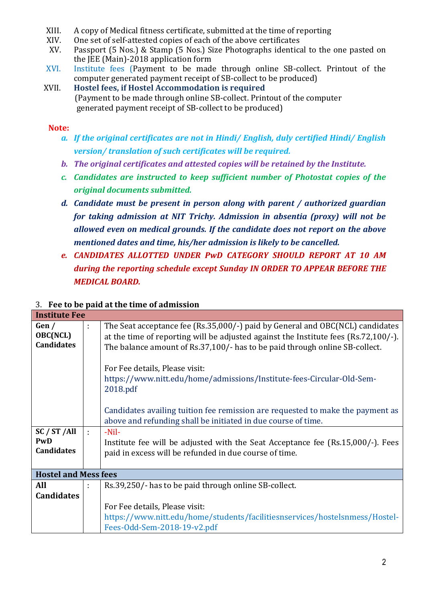- XIII. A copy of Medical fitness certificate, submitted at the time of reporting
- XIV. One set of self-attested copies of each of the above certificates
- XV. Passport (5 Nos.) & Stamp (5 Nos.) Size Photographs identical to the one pasted on the JEE (Main)-2018 application form
- XVI. Institute fees (Payment to be made through online SB-collect. Printout of the computer generated payment receipt of SB-collect to be produced)
- XVII. **Hostel fees, if Hostel Accommodation is required** (Payment to be made through online SB-collect. Printout of the computer generated payment receipt of SB-collect to be produced)

### **Note:**

- *a. If the original certificates are not in Hindi/ English, duly certified Hindi/ English version/ translation of such certificates will be required.*
- *b. The original certificates and attested copies will be retained by the Institute.*
- *c. Candidates are instructed to keep sufficient number of Photostat copies of the original documents submitted.*
- *d. Candidate must be present in person along with parent / authorized guardian for taking admission at NIT Trichy. Admission in absentia (proxy) will not be allowed even on medical grounds. If the candidate does not report on the above mentioned dates and time, his/her admission is likely to be cancelled.*
- *e. CANDIDATES ALLOTTED UNDER PwD CATEGORY SHOULD REPORT AT 10 AM during the reporting schedule except Sunday IN ORDER TO APPEAR BEFORE THE MEDICAL BOARD.*

#### 3. **Fee to be paid at the time of admission**

| <b>Institute Fee</b>                          |    |                                                                                                                                                                                                                                                     |  |  |  |  |
|-----------------------------------------------|----|-----------------------------------------------------------------------------------------------------------------------------------------------------------------------------------------------------------------------------------------------------|--|--|--|--|
| Gen /<br><b>OBC(NCL)</b><br><b>Candidates</b> |    | The Seat acceptance fee (Rs.35,000/-) paid by General and OBC(NCL) candidates<br>at the time of reporting will be adjusted against the Institute fees (Rs.72,100/-).<br>The balance amount of Rs.37,100/- has to be paid through online SB-collect. |  |  |  |  |
|                                               |    | For Fee details, Please visit:<br>https://www.nitt.edu/home/admissions/Institute-fees-Circular-Old-Sem-<br>2018.pdf                                                                                                                                 |  |  |  |  |
|                                               |    | Candidates availing tuition fee remission are requested to make the payment as<br>above and refunding shall be initiated in due course of time.                                                                                                     |  |  |  |  |
| SC / ST / All<br>PwD                          | ÷. | $-Nil-$<br>Institute fee will be adjusted with the Seat Acceptance fee (Rs.15,000/-). Fees                                                                                                                                                          |  |  |  |  |
| <b>Candidates</b>                             |    | paid in excess will be refunded in due course of time.                                                                                                                                                                                              |  |  |  |  |
| <b>Hostel and Mess fees</b>                   |    |                                                                                                                                                                                                                                                     |  |  |  |  |
| All                                           | ÷  | Rs.39,250/- has to be paid through online SB-collect.                                                                                                                                                                                               |  |  |  |  |
| <b>Candidates</b>                             |    |                                                                                                                                                                                                                                                     |  |  |  |  |
|                                               |    | For Fee details, Please visit:                                                                                                                                                                                                                      |  |  |  |  |
|                                               |    | https://www.nitt.edu/home/students/facilitiesnservices/hostelsnmess/Hostel-                                                                                                                                                                         |  |  |  |  |
|                                               |    | Fees-Odd-Sem-2018-19-v2.pdf                                                                                                                                                                                                                         |  |  |  |  |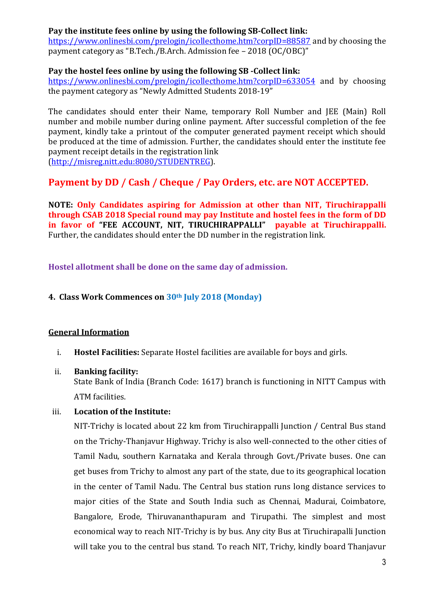#### **Pay the institute fees online by using the following SB-Collect link:**

<https://www.onlinesbi.com/prelogin/icollecthome.htm?corpID=88587> and by choosing the payment category as "B.Tech./B.Arch. Admission fee – 2018 (OC/OBC)"

## **Pay the hostel fees online by using the following SB -Collect link:**

<https://www.onlinesbi.com/prelogin/icollecthome.htm?corpID=633054> and by choosing the payment category as "Newly Admitted Students 2018-19"

The candidates should enter their Name, temporary Roll Number and JEE (Main) Roll number and mobile number during online payment. After successful completion of the fee payment, kindly take a printout of the computer generated payment receipt which should be produced at the time of admission. Further, the candidates should enter the institute fee payment receipt details in the registration link [\(http://misreg.nitt.edu:8080/STUDENTREG\)](http://misreg.nitt.edu:8080/STUDENTREG).

# **Payment by DD / Cash / Cheque / Pay Orders, etc. are NOT ACCEPTED.**

**NOTE: Only Candidates aspiring for Admission at other than NIT, Tiruchirappalli through CSAB 2018 Special round may pay Institute and hostel fees in the form of DD in favor of "FEE ACCOUNT, NIT, TIRUCHIRAPPALLI" payable at Tiruchirappalli.** Further, the candidates should enter the DD number in the registration link.

## **Hostel allotment shall be done on the same day of admission.**

## **4. Class Work Commences on 30th July 2018 (Monday)**

#### **General Information**

i. **Hostel Facilities:** Separate Hostel facilities are available for boys and girls.

#### ii. **Banking facility:**

State Bank of India (Branch Code: 1617) branch is functioning in NITT Campus with ATM facilities.

#### iii. **Location of the Institute:**

NIT-Trichy is located about 22 km from Tiruchirappalli Junction / Central Bus stand on the Trichy-Thanjavur Highway. Trichy is also well-connected to the other cities of Tamil Nadu, southern Karnataka and Kerala through Govt./Private buses. One can get buses from Trichy to almost any part of the state, due to its geographical location in the center of Tamil Nadu. The Central bus station runs long distance services to major cities of the State and South India such as Chennai, Madurai, Coimbatore, Bangalore, Erode, Thiruvananthapuram and Tirupathi. The simplest and most economical way to reach NIT-Trichy is by bus. Any city Bus at Tiruchirapalli Junction will take you to the central bus stand. To reach NIT, Trichy, kindly board Thanjavur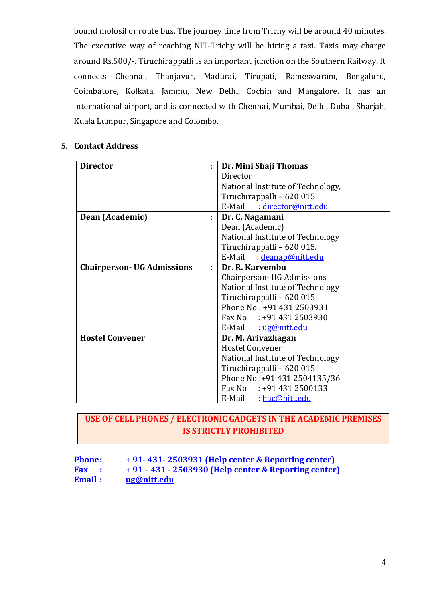bound mofosil or route bus. The journey time from Trichy will be around 40 minutes. The executive way of reaching NIT-Trichy will be hiring a taxi. Taxis may charge around Rs.500/-. Tiruchirappalli is an important junction on the Southern Railway. It connects Chennai, Thanjavur, Madurai, Tirupati, Rameswaram, Bengaluru, Coimbatore, Kolkata, Jammu, New Delhi, Cochin and Mangalore. It has an international airport, and is connected with Chennai, Mumbai, Delhi, Dubai, Sharjah, Kuala Lumpur, Singapore and Colombo.

## 5. **Contact Address**

| <b>Director</b>                   |   | Dr. Mini Shaji Thomas             |  |  |
|-----------------------------------|---|-----------------------------------|--|--|
|                                   | ÷ | Director                          |  |  |
|                                   |   | National Institute of Technology, |  |  |
|                                   |   | Tiruchirappalli - 620 015         |  |  |
|                                   |   |                                   |  |  |
|                                   |   | E-Mail : director@nitt.edu        |  |  |
| Dean (Academic)                   |   | Dr. C. Nagamani                   |  |  |
|                                   |   | Dean (Academic)                   |  |  |
|                                   |   | National Institute of Technology  |  |  |
|                                   |   | Tiruchirappalli – 620 015.        |  |  |
|                                   |   | E-Mail: deanap@nitt.edu           |  |  |
| <b>Chairperson- UG Admissions</b> | ÷ | Dr. R. Karvembu                   |  |  |
|                                   |   | Chairperson- UG Admissions        |  |  |
|                                   |   | National Institute of Technology  |  |  |
|                                   |   | Tiruchirappalli - 620 015         |  |  |
|                                   |   | Phone No: +91 431 2503931         |  |  |
|                                   |   | Fax No : +91 431 2503930          |  |  |
|                                   |   | E-Mail ug@nitt.edu                |  |  |
| <b>Hostel Convener</b>            |   | Dr. M. Arivazhagan                |  |  |
|                                   |   | <b>Hostel Convener</b>            |  |  |
|                                   |   | National Institute of Technology  |  |  |
|                                   |   | Tiruchirappalli - 620 015         |  |  |
|                                   |   | Phone No:+91 431 2504135/36       |  |  |
|                                   |   | Fax No $: +914312500133$          |  |  |
|                                   |   | E-Mail hac@nitt.edu               |  |  |

# **USE OF CELL PHONES / ELECTRONIC GADGETS IN THE ACADEMIC PREMISES IS STRICTLY PROHIBITED**

**Phone: + 91- 431- 2503931 (Help center & Reporting center)** 

- **Fax : + 91 – 431 - 2503930 (Help center & Reporting center)**
- **Email : [ug@nitt.edu](mailto:ug@nitt.edu)**